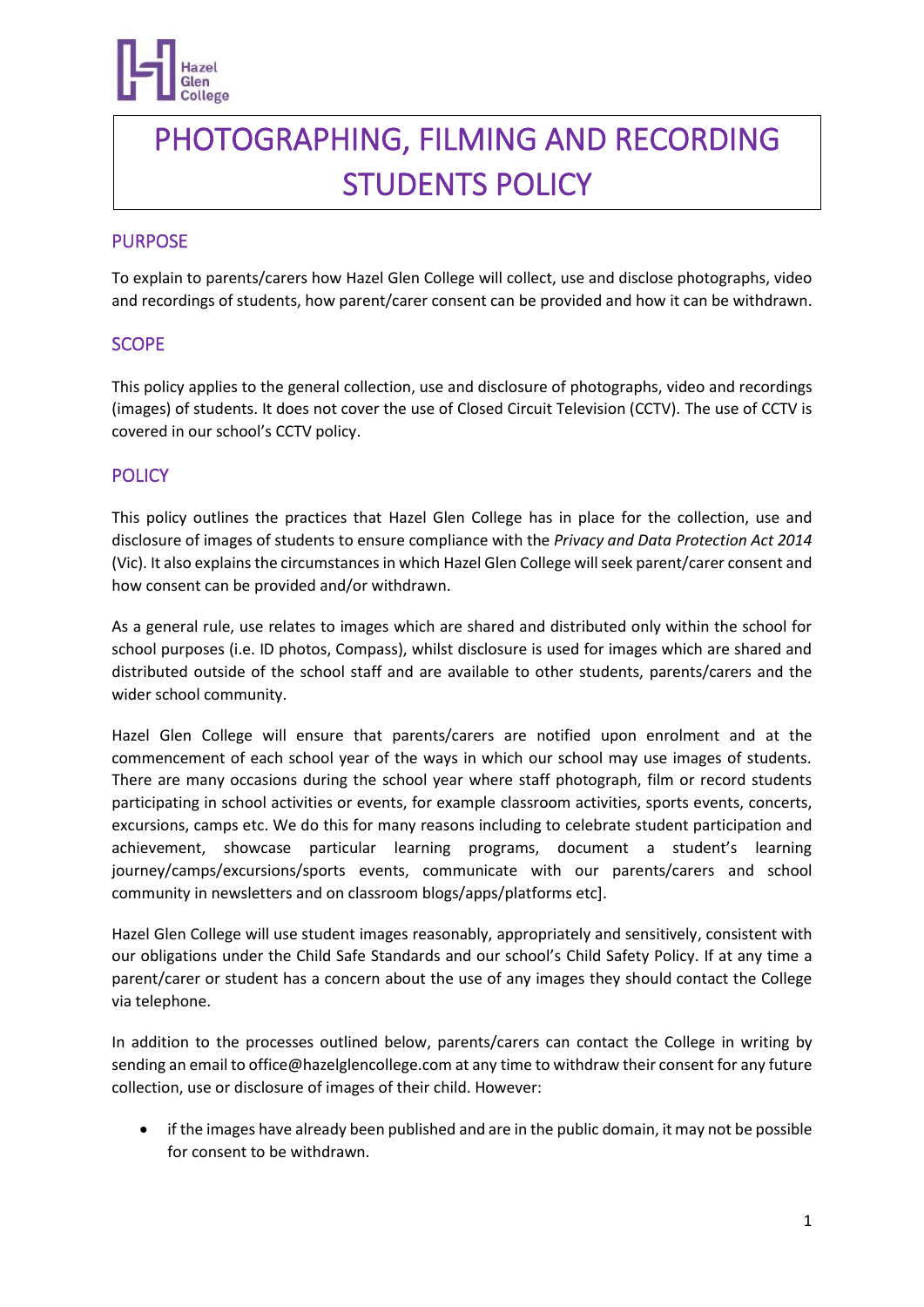

# PHOTOGRAPHING, FILMING AND RECORDING STUDENTS POLICY

## PURPOSE

To explain to parents/carers how Hazel Glen College will collect, use and disclose photographs, video and recordings of students, how parent/carer consent can be provided and how it can be withdrawn.

## **SCOPE**

This policy applies to the general collection, use and disclosure of photographs, video and recordings (images) of students. It does not cover the use of Closed Circuit Television (CCTV). The use of CCTV is covered in our school's CCTV policy.

## **POLICY**

This policy outlines the practices that Hazel Glen College has in place for the collection, use and disclosure of images of students to ensure compliance with the *Privacy and Data Protection Act 2014*  (Vic). It also explains the circumstances in which Hazel Glen College will seek parent/carer consent and how consent can be provided and/or withdrawn.

As a general rule, use relates to images which are shared and distributed only within the school for school purposes (i.e. ID photos, Compass), whilst disclosure is used for images which are shared and distributed outside of the school staff and are available to other students, parents/carers and the wider school community.

Hazel Glen College will ensure that parents/carers are notified upon enrolment and at the commencement of each school year of the ways in which our school may use images of students. There are many occasions during the school year where staff photograph, film or record students participating in school activities or events, for example classroom activities, sports events, concerts, excursions, camps etc. We do this for many reasons including to celebrate student participation and achievement, showcase particular learning programs, document a student's learning journey/camps/excursions/sports events, communicate with our parents/carers and school community in newsletters and on classroom blogs/apps/platforms etc].

Hazel Glen College will use student images reasonably, appropriately and sensitively, consistent with our obligations under the Child Safe Standards and our school's Child Safety Policy. If at any time a parent/carer or student has a concern about the use of any images they should contact the College via telephone.

In addition to the processes outlined below, parents/carers can contact the College in writing by sending an email to office@hazelglencollege.com at any time to withdraw their consent for any future collection, use or disclosure of images of their child. However:

• if the images have already been published and are in the public domain, it may not be possible for consent to be withdrawn.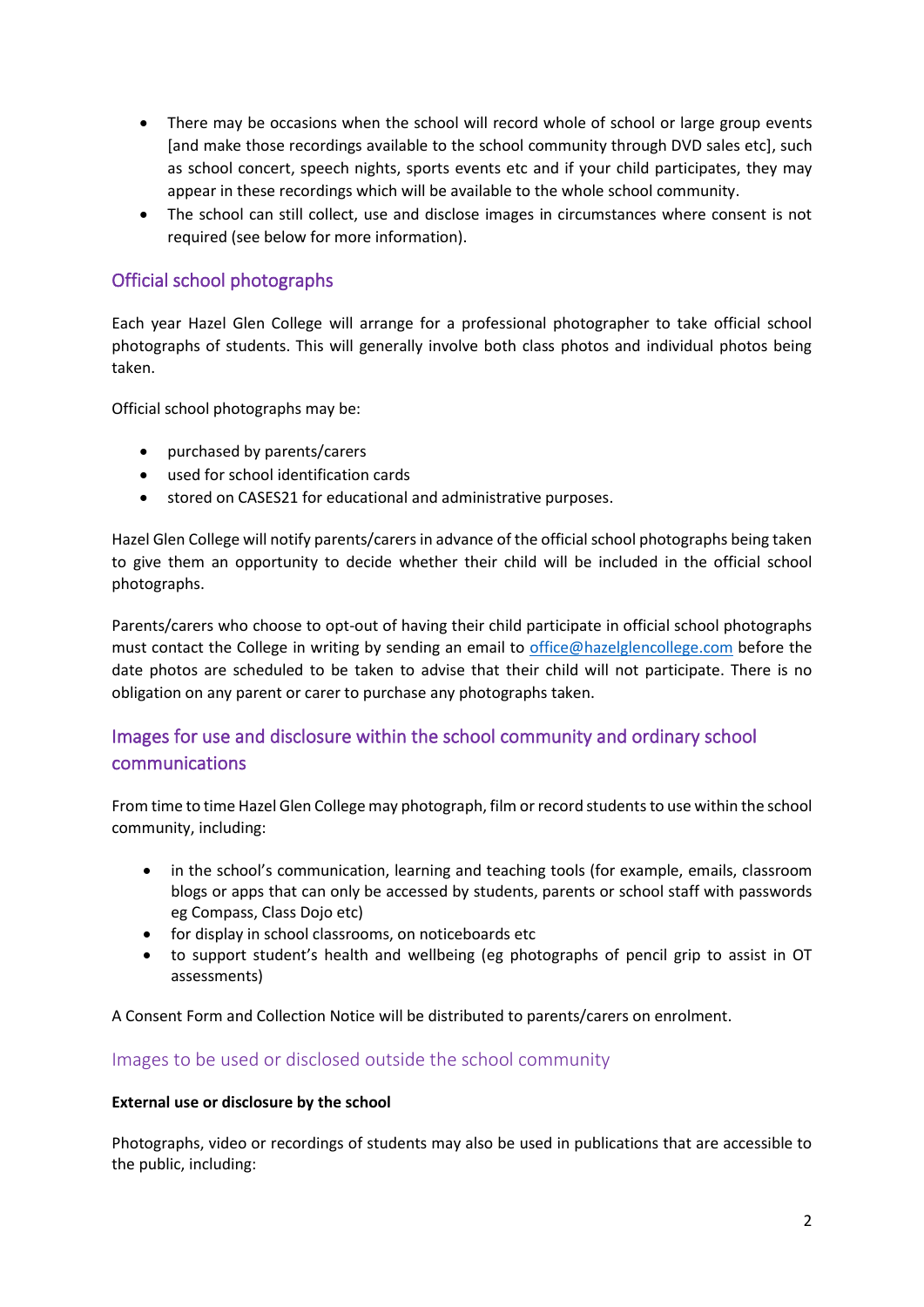- There may be occasions when the school will record whole of school or large group events [and make those recordings available to the school community through DVD sales etc], such as school concert, speech nights, sports events etc and if your child participates, they may appear in these recordings which will be available to the whole school community.
- The school can still collect, use and disclose images in circumstances where consent is not required (see below for more information).

# Official school photographs

Each year Hazel Glen College will arrange for a professional photographer to take official school photographs of students. This will generally involve both class photos and individual photos being taken.

Official school photographs may be:

- purchased by parents/carers
- used for school identification cards
- stored on CASES21 for educational and administrative purposes.

Hazel Glen College will notify parents/carers in advance of the official school photographs being taken to give them an opportunity to decide whether their child will be included in the official school photographs.

Parents/carers who choose to opt-out of having their child participate in official school photographs must contact the College in writing by sending an email to [office@hazelglencollege.com](mailto:office@hazelglencollege.com) before the date photos are scheduled to be taken to advise that their child will not participate. There is no obligation on any parent or carer to purchase any photographs taken.

# Images for use and disclosure within the school community and ordinary school communications

From time to time Hazel Glen College may photograph, film or record students to use within the school community, including:

- in the school's communication, learning and teaching tools (for example, emails, classroom blogs or apps that can only be accessed by students, parents or school staff with passwords eg Compass, Class Dojo etc)
- for display in school classrooms, on noticeboards etc
- to support student's health and wellbeing (eg photographs of pencil grip to assist in OT assessments)

A Consent Form and Collection Notice will be distributed to parents/carers on enrolment.

#### Images to be used or disclosed outside the school community

#### **External use or disclosure by the school**

Photographs, video or recordings of students may also be used in publications that are accessible to the public, including: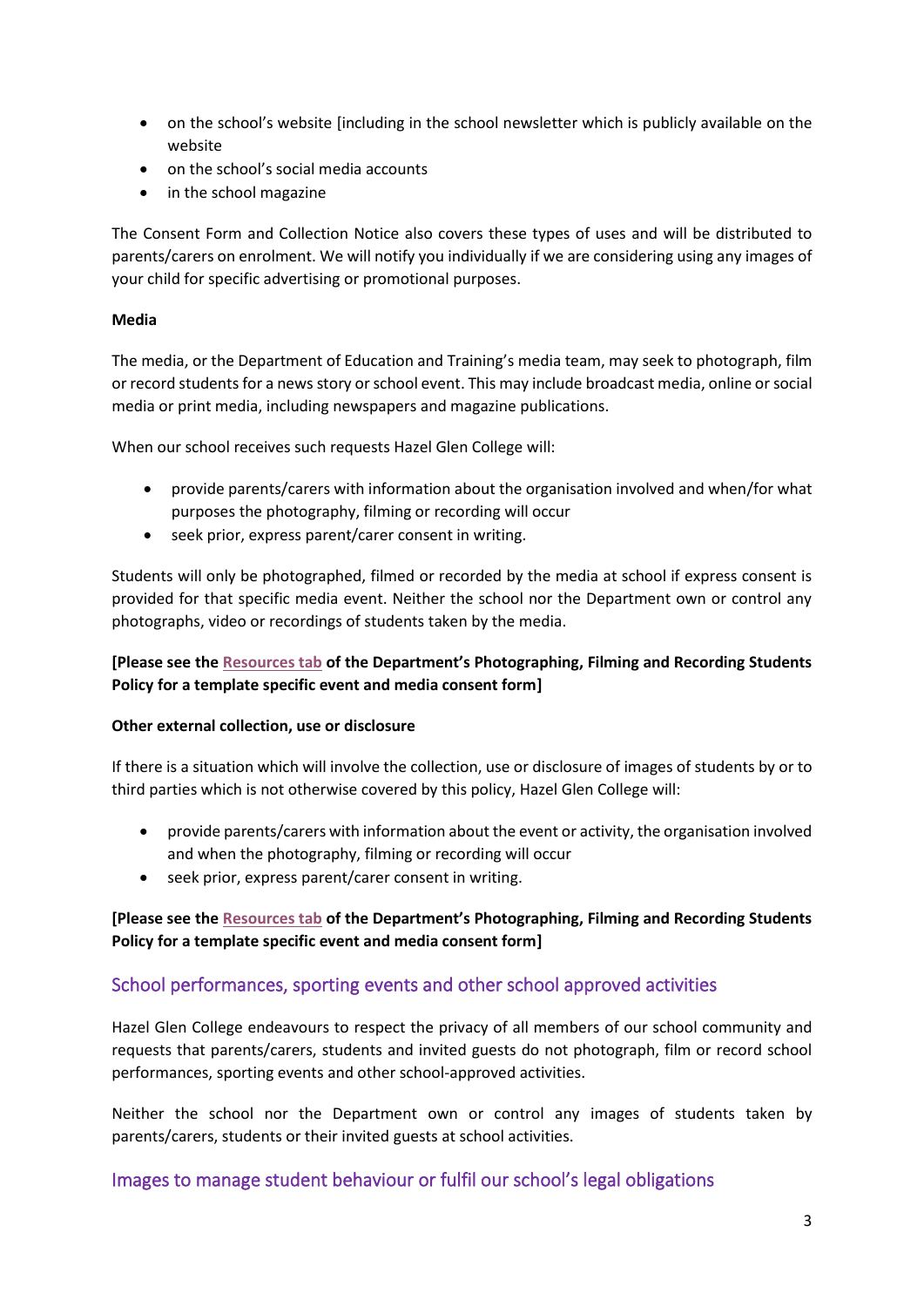- on the school's website [including in the school newsletter which is publicly available on the website
- on the school's social media accounts
- in the school magazine

The Consent Form and Collection Notice also covers these types of uses and will be distributed to parents/carers on enrolment. We will notify you individually if we are considering using any images of your child for specific advertising or promotional purposes.

#### **Media**

The media, or the Department of Education and Training's media team, may seek to photograph, film or record students for a news story or school event. This may include broadcast media, online or social media or print media, including newspapers and magazine publications.

When our school receives such requests Hazel Glen College will:

- provide parents/carers with information about the organisation involved and when/for what purposes the photography, filming or recording will occur
- seek prior, express parent/carer consent in writing.

Students will only be photographed, filmed or recorded by the media at school if express consent is provided for that specific media event. Neither the school nor the Department own or control any photographs, video or recordings of students taken by the media.

#### **[Please see the [Resources tab](https://www2.education.vic.gov.au/pal/photographing-students/resources) of the Department's Photographing, Filming and Recording Students Policy for a template specific event and media consent form]**

#### **Other external collection, use or disclosure**

If there is a situation which will involve the collection, use or disclosure of images of students by or to third parties which is not otherwise covered by this policy, Hazel Glen College will:

- provide parents/carers with information about the event or activity, the organisation involved and when the photography, filming or recording will occur
- seek prior, express parent/carer consent in writing.

#### **[Please see the [Resources tab](https://www2.education.vic.gov.au/pal/photographing-students/resources) of the Department's Photographing, Filming and Recording Students Policy for a template specific event and media consent form]**

## School performances, sporting events and other school approved activities

Hazel Glen College endeavours to respect the privacy of all members of our school community and requests that parents/carers, students and invited guests do not photograph, film or record school performances, sporting events and other school-approved activities.

Neither the school nor the Department own or control any images of students taken by parents/carers, students or their invited guests at school activities.

## Images to manage student behaviour or fulfil our school's legal obligations